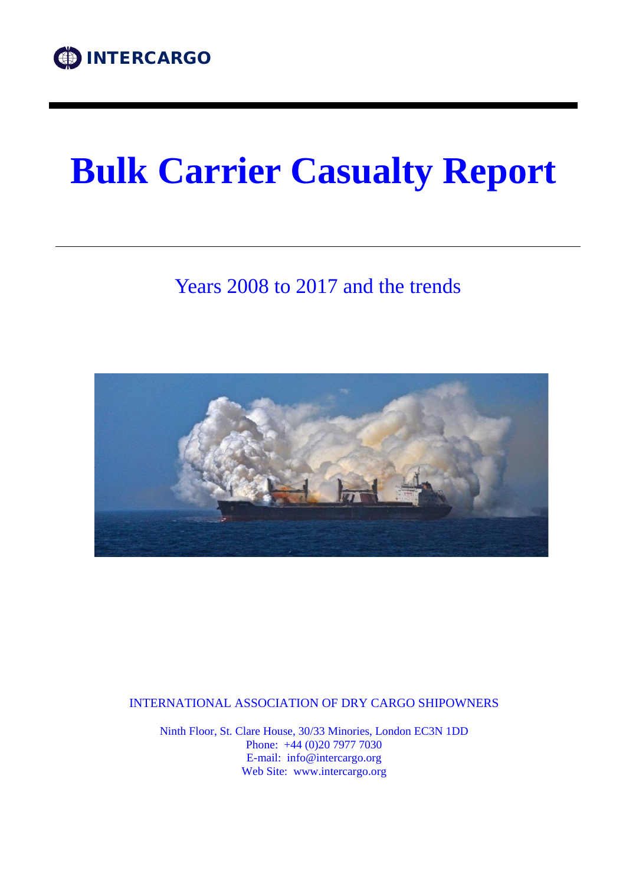# **Bulk Carrier Casualty Report**

## Years 2008 to 2017 and the trends



INTERNATIONAL ASSOCIATION OF DRY CARGO SHIPOWNERS

Ninth Floor, St. Clare House, 30/33 Minories, London EC3N 1DD Phone: +44 (0)20 7977 7030 E-mail: info@intercargo.org Web Site: www.intercargo.org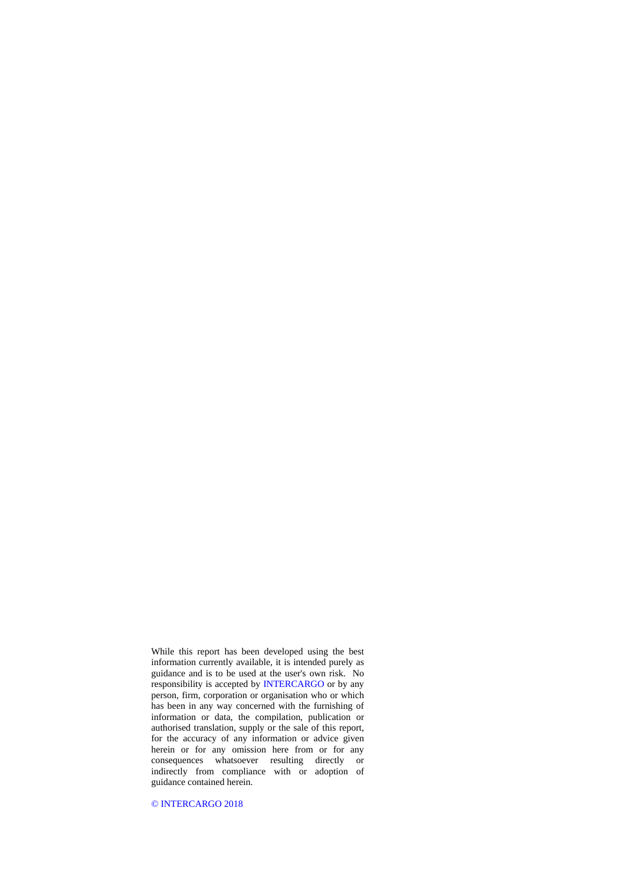While this report has been developed using the best information currently available, it is intended purely as guidance and is to be used at the user's own risk. No responsibility is accepted by INTERCARGO or by any person, firm, corporation or organisation who or which has been in any way concerned with the furnishing of information or data, the compilation, publication or authorised translation, supply or the sale of this report, for the accuracy of any information or advice given herein or for any omission here from or for any consequences whatsoever resulting directly or indirectly from compliance with or adoption of guidance contained herein.

© INTERCARGO 2018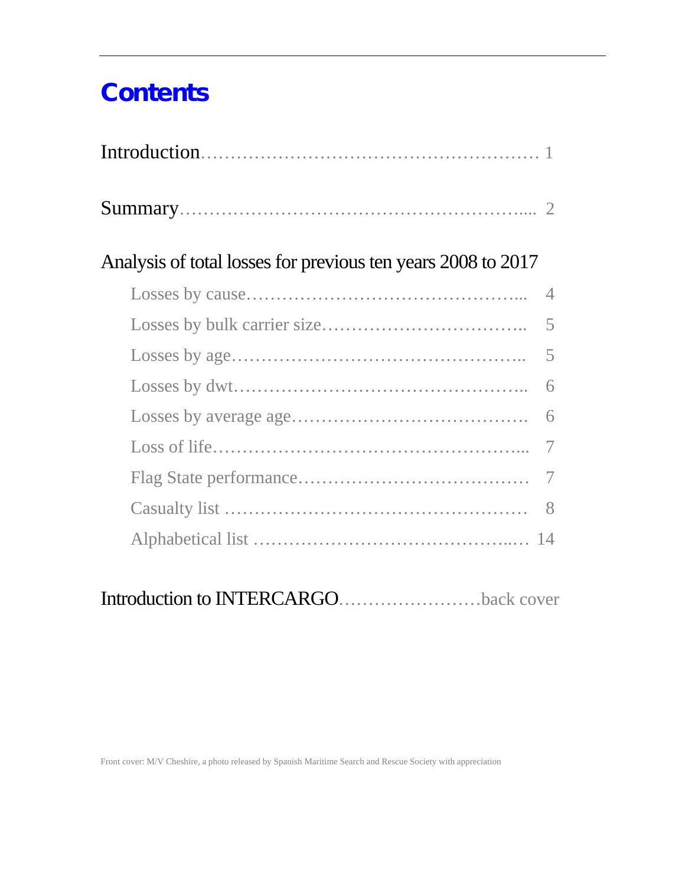## **Contents**

| Analysis of total losses for previous ten years 2008 to 2017 |                |
|--------------------------------------------------------------|----------------|
|                                                              | $\overline{4}$ |
|                                                              | 5              |
|                                                              | 5              |
|                                                              | 6              |
|                                                              | 6              |
|                                                              | 7              |
|                                                              | 7              |
|                                                              | 8              |
|                                                              |                |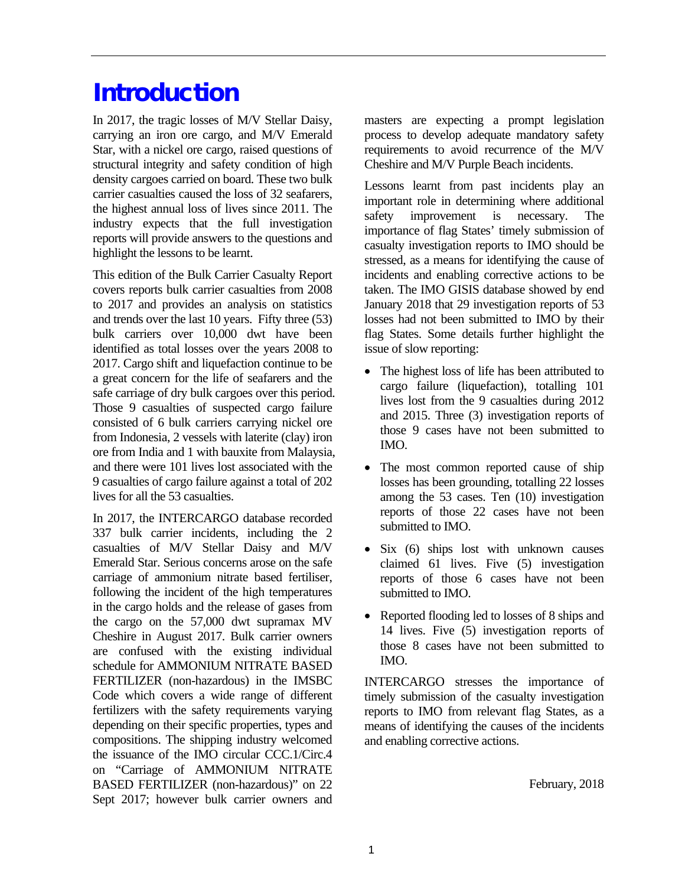## **Introduction**

In 2017, the tragic losses of M/V Stellar Daisy, carrying an iron ore cargo, and M/V Emerald Star, with a nickel ore cargo, raised questions of structural integrity and safety condition of high density cargoes carried on board. These two bulk carrier casualties caused the loss of 32 seafarers, the highest annual loss of lives since 2011. The industry expects that the full investigation reports will provide answers to the questions and highlight the lessons to be learnt.

This edition of the Bulk Carrier Casualty Report covers reports bulk carrier casualties from 2008 to 2017 and provides an analysis on statistics and trends over the last 10 years. Fifty three (53) bulk carriers over 10,000 dwt have been identified as total losses over the years 2008 to 2017. Cargo shift and liquefaction continue to be a great concern for the life of seafarers and the safe carriage of dry bulk cargoes over this period. Those 9 casualties of suspected cargo failure consisted of 6 bulk carriers carrying nickel ore from Indonesia, 2 vessels with laterite (clay) iron ore from India and 1 with bauxite from Malaysia, and there were 101 lives lost associated with the 9 casualties of cargo failure against a total of 202 lives for all the 53 casualties.

In 2017, the INTERCARGO database recorded 337 bulk carrier incidents, including the 2 casualties of M/V Stellar Daisy and M/V Emerald Star. Serious concerns arose on the safe carriage of ammonium nitrate based fertiliser, following the incident of the high temperatures in the cargo holds and the release of gases from the cargo on the 57,000 dwt supramax MV Cheshire in August 2017. Bulk carrier owners are confused with the existing individual schedule for AMMONIUM NITRATE BASED FERTILIZER (non-hazardous) in the IMSBC Code which covers a wide range of different fertilizers with the safety requirements varying depending on their specific properties, types and compositions. The shipping industry welcomed the issuance of the IMO circular CCC.1/Circ.4 on "Carriage of AMMONIUM NITRATE BASED FERTILIZER (non-hazardous)" on 22 Sept 2017; however bulk carrier owners and

masters are expecting a prompt legislation process to develop adequate mandatory safety requirements to avoid recurrence of the M/V Cheshire and M/V Purple Beach incidents.

Lessons learnt from past incidents play an important role in determining where additional safety improvement is necessary. The importance of flag States' timely submission of casualty investigation reports to IMO should be stressed, as a means for identifying the cause of incidents and enabling corrective actions to be taken. The IMO GISIS database showed by end January 2018 that 29 investigation reports of 53 losses had not been submitted to IMO by their flag States. Some details further highlight the issue of slow reporting:

- The highest loss of life has been attributed to cargo failure (liquefaction), totalling 101 lives lost from the 9 casualties during 2012 and 2015. Three (3) investigation reports of those 9 cases have not been submitted to IMO.
- The most common reported cause of ship losses has been grounding, totalling 22 losses among the 53 cases. Ten (10) investigation reports of those 22 cases have not been submitted to IMO.
- Six (6) ships lost with unknown causes claimed 61 lives. Five (5) investigation reports of those 6 cases have not been submitted to IMO.
- Reported flooding led to losses of 8 ships and 14 lives. Five (5) investigation reports of those 8 cases have not been submitted to IMO.

INTERCARGO stresses the importance of timely submission of the casualty investigation reports to IMO from relevant flag States, as a means of identifying the causes of the incidents and enabling corrective actions.

February, 2018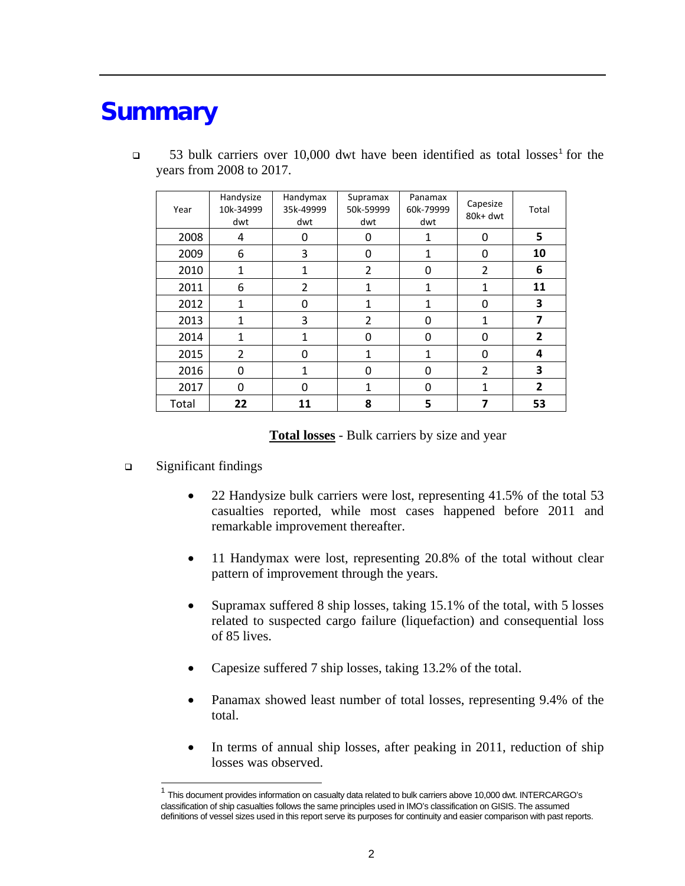## **Summary**

| Year  | Handysize<br>10k-34999<br>dwt | Handymax<br>35k-49999<br>dwt | Supramax<br>50k-59999<br>dwt | Panamax<br>60k-79999<br>dwt | Capesize<br>80k+ dwt | Total          |
|-------|-------------------------------|------------------------------|------------------------------|-----------------------------|----------------------|----------------|
| 2008  | 4                             | 0                            | 0                            | 1                           | 0                    | 5              |
| 2009  | 6                             | 3                            | 0                            | $\mathbf{1}$                | $\mathbf{0}$         | 10             |
| 2010  | $\mathbf{1}$                  | $\mathbf{1}$                 | 2                            | 0                           | 2                    | 6              |
| 2011  | 6                             | $\overline{2}$               | 1                            | $\mathbf{1}$                | 1                    | 11             |
| 2012  | $\mathbf{1}$                  | 0                            | 1                            | $\mathbf{1}$                | 0                    | 3              |
| 2013  | 1                             | 3                            | $\overline{2}$               | 0                           | 1                    | 7              |
| 2014  | $\mathbf{1}$                  | 1                            | 0                            | 0                           | 0                    | $\overline{2}$ |
| 2015  | $\overline{2}$                | 0                            | $\mathbf{1}$                 | $\mathbf{1}$                | $\mathbf 0$          | 4              |
| 2016  | 0                             | 1                            | $\mathbf 0$                  | 0                           | $\overline{2}$       | 3              |
| 2017  | 0                             | 0                            | 1                            | 0                           | 1                    | 2              |
| Total | 22                            | 11                           | 8                            | 5                           | 7                    | 53             |

 $\Box$  53 bulk carriers over [1](#page-4-0)0,000 dwt have been identified as total losses<sup>1</sup> for the years from 2008 to 2017.

**Total losses** - Bulk carriers by size and year

- □ Significant findings
	- 22 Handysize bulk carriers were lost, representing 41.5% of the total 53 casualties reported, while most cases happened before 2011 and remarkable improvement thereafter.
	- 11 Handymax were lost, representing 20.8% of the total without clear pattern of improvement through the years.
	- Supramax suffered 8 ship losses, taking 15.1% of the total, with 5 losses related to suspected cargo failure (liquefaction) and consequential loss of 85 lives.
	- Capesize suffered 7 ship losses, taking 13.2% of the total.
	- Panamax showed least number of total losses, representing 9.4% of the total.
	- In terms of annual ship losses, after peaking in 2011, reduction of ship losses was observed.

<span id="page-4-0"></span> <sup>1</sup> This document provides information on casualty data related to bulk carriers above 10,000 dwt. INTERCARGO's classification of ship casualties follows the same principles used in IMO's classification on GISIS. The assumed definitions of vessel sizes used in this report serve its purposes for continuity and easier comparison with past reports.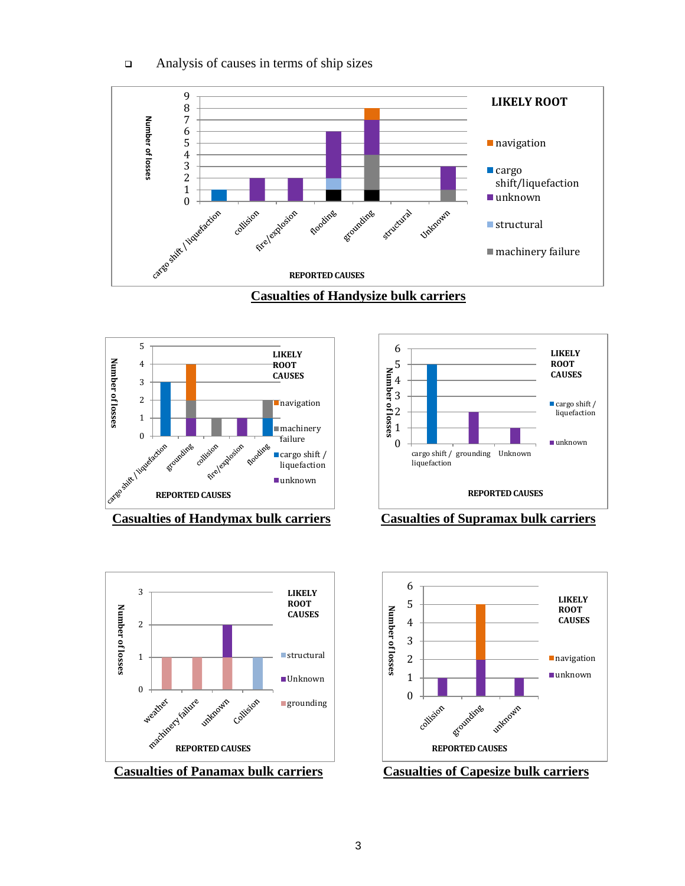











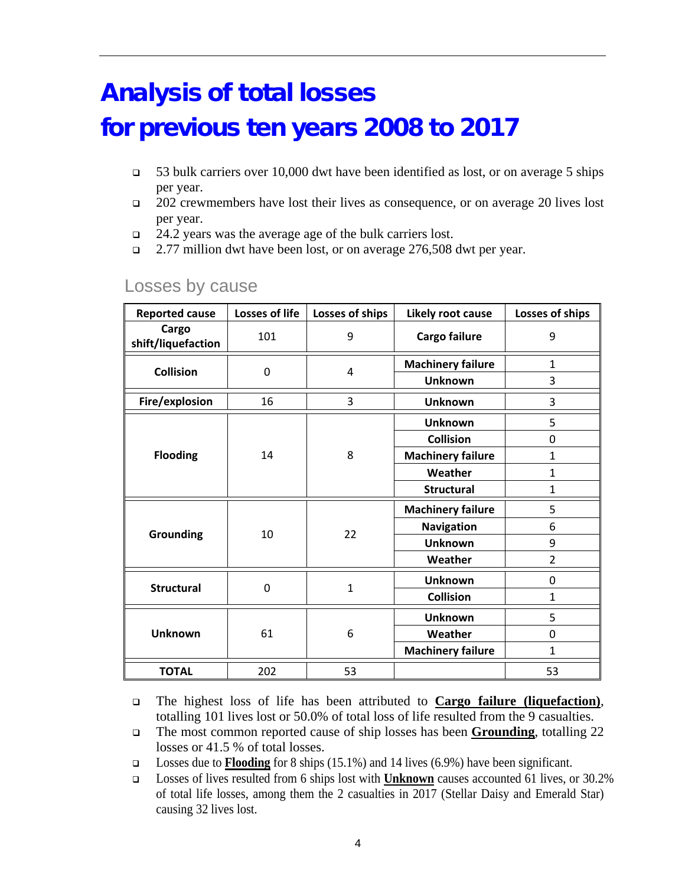## Analysis of total losses for previous ten years 2008 to 2017

- $\Box$  53 bulk carriers over 10,000 dwt have been identified as lost, or on average 5 ships per year.
- 202 crewmembers have lost their lives as consequence, or on average 20 lives lost per year.
- $\Box$  24.2 years was the average age of the bulk carriers lost.
- 2.77 million dwt have been lost, or on average 276,508 dwt per year.

| <b>Reported cause</b>       | Losses of life | Losses of ships | Likely root cause        | Losses of ships |
|-----------------------------|----------------|-----------------|--------------------------|-----------------|
| Cargo<br>shift/liquefaction | 101            | 9               | Cargo failure            | 9               |
| <b>Collision</b>            | 0              | 4               | <b>Machinery failure</b> | 1               |
|                             |                |                 | <b>Unknown</b>           | 3               |
| Fire/explosion              | 16             | 3               | <b>Unknown</b>           | 3               |
|                             |                |                 | <b>Unknown</b>           | 5               |
|                             |                | 8               | <b>Collision</b>         | 0               |
| <b>Flooding</b>             | 14             |                 | <b>Machinery failure</b> | 1               |
|                             |                |                 | Weather                  | 1               |
|                             |                |                 | <b>Structural</b>        | 1               |
|                             |                | 22              | <b>Machinery failure</b> | 5               |
|                             |                |                 | <b>Navigation</b>        | 6               |
| Grounding                   | 10             |                 | <b>Unknown</b>           | 9               |
|                             |                |                 | Weather                  | $\overline{2}$  |
|                             | 0              | $\mathbf{1}$    | <b>Unknown</b>           | 0               |
| <b>Structural</b>           |                |                 | <b>Collision</b>         | $\overline{1}$  |
|                             |                |                 | <b>Unknown</b>           | 5               |
| <b>Unknown</b>              | 61             | 6               | Weather                  | 0               |
|                             |                |                 | <b>Machinery failure</b> | 1               |
| <b>TOTAL</b>                | 202            | 53              |                          | 53              |

### Losses by cause

 The highest loss of life has been attributed to **Cargo failure (liquefaction)**, totalling 101 lives lost or 50.0% of total loss of life resulted from the 9 casualties.

 The most common reported cause of ship losses has been **Grounding**, totalling 22 losses or 41.5 % of total losses.

Losses due to **Flooding** for 8 ships (15.1%) and 14 lives (6.9%) have been significant.

 Losses of lives resulted from 6 ships lost with **Unknown** causes accounted 61 lives, or 30.2% of total life losses, among them the 2 casualties in 2017 (Stellar Daisy and Emerald Star) causing 32 lives lost.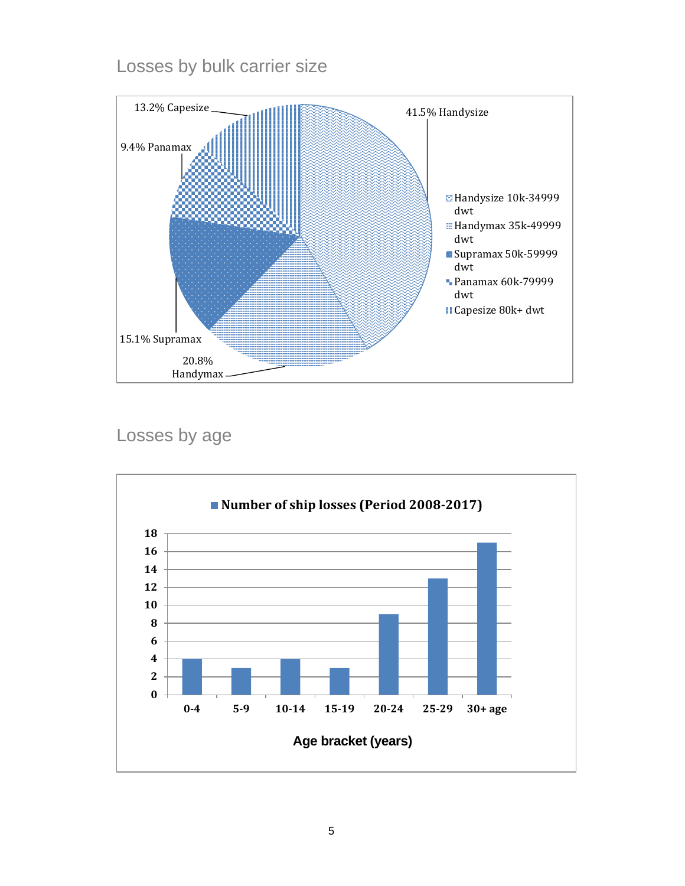### Losses by bulk carrier size



Losses by age

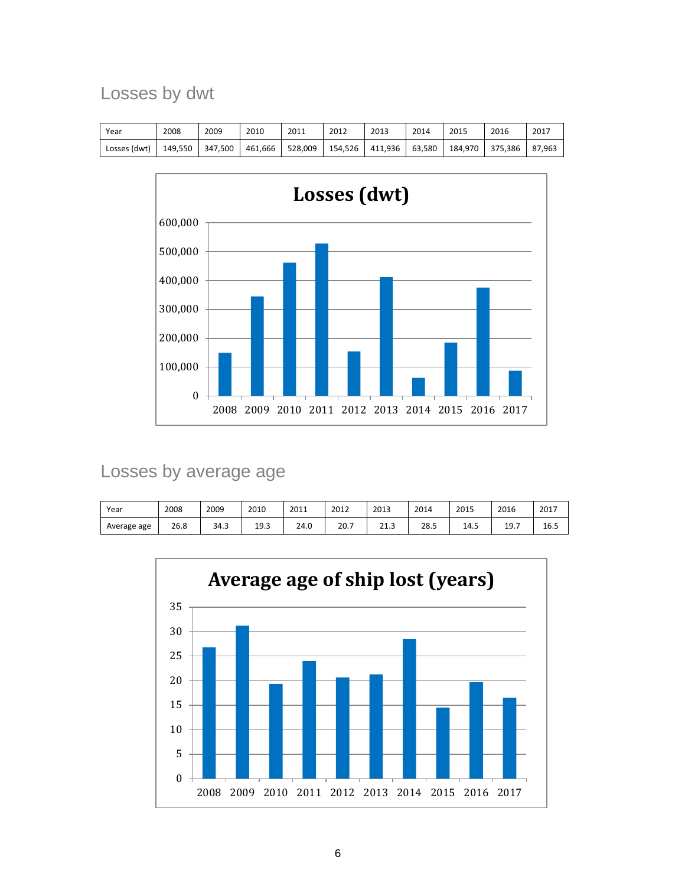## Losses by dwt

| Year         | 2008    | 2009    | 2010    | 2011    | 2012    | 2013    | 2014   | 2015    | 2016    | 2017   |
|--------------|---------|---------|---------|---------|---------|---------|--------|---------|---------|--------|
| Losses (dwt) | 149.550 | 347.500 | 461.666 | 528.009 | 154.526 | 411.936 | 63.580 | 184.970 | 375.386 | 87.963 |



### Losses by average age

| Year        | 2008 | 2009 | 2010 | 2011 | 2012 | 2013 | 2014 | 2015 | 2016 | 2017 |
|-------------|------|------|------|------|------|------|------|------|------|------|
| Average age | 26.8 | 34.3 | 19.3 | 24.0 | 20.7 | 21.3 | 28.5 | 14.5 | 19.7 | 16.5 |

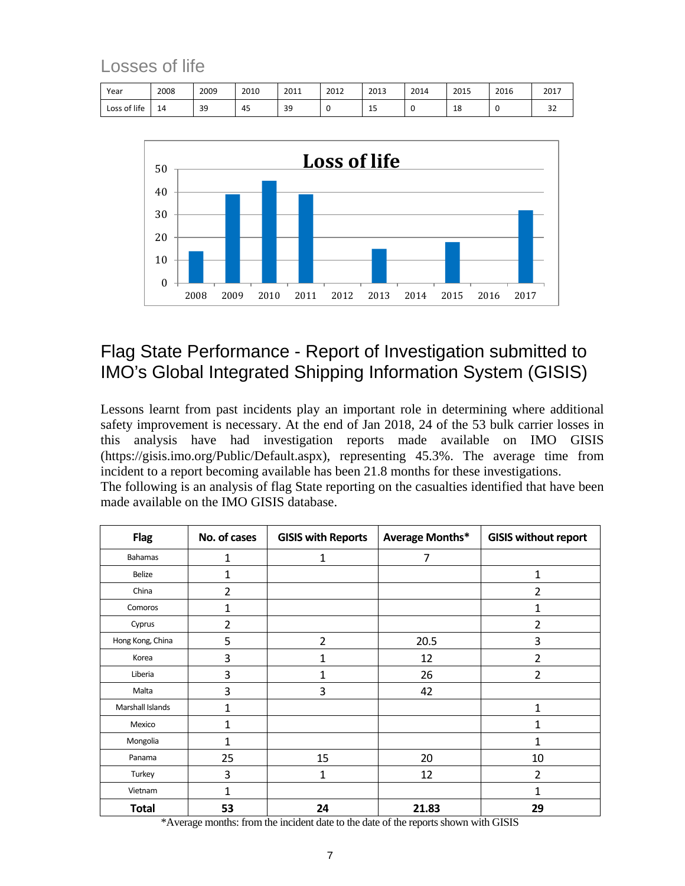### Losses of life

| Year         | 2008 | 2009 | 2010 | 2011 | 2012 | 2013    | 2014 | 2015 | 2016 | 2017 |
|--------------|------|------|------|------|------|---------|------|------|------|------|
| Loss of life | 14   | 39   | 45   | 39   |      | <b></b> |      | 18   |      | ے ب  |



## Flag State Performance - Report of Investigation submitted to IMO's Global Integrated Shipping Information System (GISIS)

Lessons learnt from past incidents play an important role in determining where additional safety improvement is necessary. At the end of Jan 2018, 24 of the 53 bulk carrier losses in this analysis have had investigation reports made available on IMO GISIS [\(https://gisis.imo.org/Public/Default.aspx\)](https://gisis.imo.org/Public/Default.aspx), representing 45.3%. The average time from incident to a report becoming available has been 21.8 months for these investigations. The following is an analysis of flag State reporting on the casualties identified that have been

| The following is an analysis of flag State reporting on the casualties identified that have been |  |
|--------------------------------------------------------------------------------------------------|--|
| made available on the IMO GISIS database.                                                        |  |

| <b>Flag</b>      | No. of cases   | <b>GISIS with Reports</b> | Average Months* | <b>GISIS without report</b> |
|------------------|----------------|---------------------------|-----------------|-----------------------------|
| <b>Bahamas</b>   | 1              | 1                         | 7               |                             |
| Belize           | 1              |                           |                 | 1                           |
| China            | $\overline{2}$ |                           |                 | $\overline{2}$              |
| Comoros          | $\mathbf{1}$   |                           |                 | 1                           |
| Cyprus           | 2              |                           |                 | 2                           |
| Hong Kong, China | 5              | $\overline{2}$            | 20.5            | 3                           |
| Korea            | 3              | 1                         | 12              | $\overline{2}$              |
| Liberia          | 3              | 1                         | 26              | $\overline{2}$              |
| Malta            | 3              | 3                         | 42              |                             |
| Marshall Islands | $\mathbf{1}$   |                           |                 | $\mathbf{1}$                |
| Mexico           | 1              |                           |                 | 1                           |
| Mongolia         | 1              |                           |                 | 1                           |
| Panama           | 25             | 15                        | 20              | 10                          |
| Turkey           | 3              | 1                         | 12              | $\overline{2}$              |
| Vietnam          | 1              |                           |                 | 1                           |
| <b>Total</b>     | 53             | 24                        | 21.83           | 29                          |

\*Average months: from the incident date to the date of the reports shown with GISIS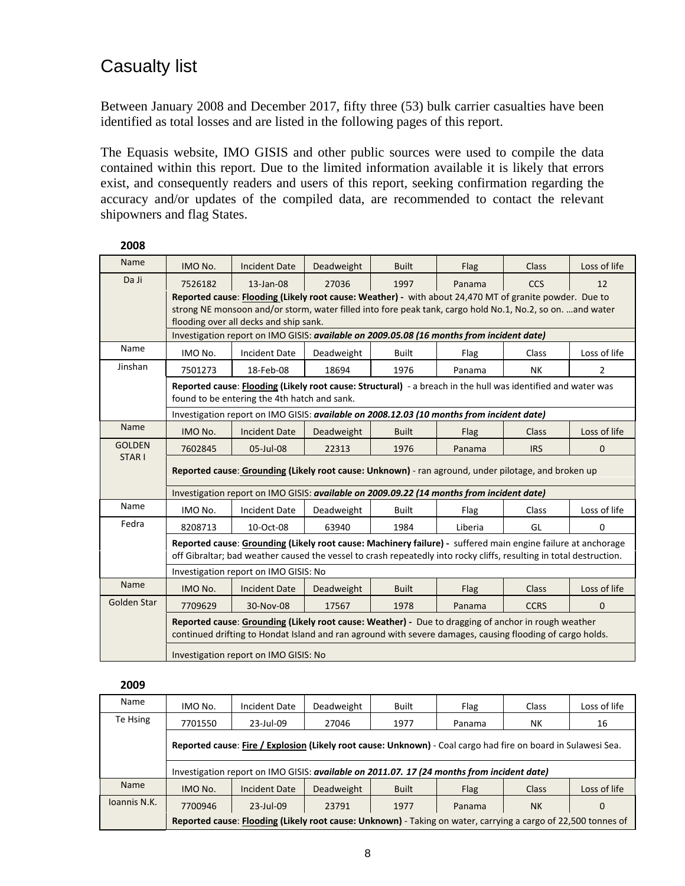### Casualty list

Between January 2008 and December 2017, fifty three (53) bulk carrier casualties have been identified as total losses and are listed in the following pages of this report.

The Equasis website, IMO GISIS and other public sources were used to compile the data contained within this report. Due to the limited information available it is likely that errors exist, and consequently readers and users of this report, seeking confirmation regarding the accuracy and/or updates of the compiled data, are recommended to contact the relevant shipowners and flag States.

| Name              | IMO No.                                                                                                      | <b>Incident Date</b>                                                                                                | Deadweight | <b>Built</b> | Flag    | <b>Class</b> | Loss of life |  |  |  |
|-------------------|--------------------------------------------------------------------------------------------------------------|---------------------------------------------------------------------------------------------------------------------|------------|--------------|---------|--------------|--------------|--|--|--|
| Da Ji             | 7526182                                                                                                      | 13-Jan-08                                                                                                           | 27036      | 1997         | Panama  | <b>CCS</b>   | 12           |  |  |  |
|                   |                                                                                                              | Reported cause: Flooding (Likely root cause: Weather) - with about 24,470 MT of granite powder. Due to              |            |              |         |              |              |  |  |  |
|                   |                                                                                                              | strong NE monsoon and/or storm, water filled into fore peak tank, cargo hold No.1, No.2, so on. and water           |            |              |         |              |              |  |  |  |
|                   | flooding over all decks and ship sank.                                                                       |                                                                                                                     |            |              |         |              |              |  |  |  |
|                   | Investigation report on IMO GISIS: available on 2009.05.08 (16 months from incident date)                    |                                                                                                                     |            |              |         |              |              |  |  |  |
| Name              | IMO No.                                                                                                      | <b>Incident Date</b>                                                                                                | Deadweight | <b>Built</b> | Flag    | <b>Class</b> | Loss of life |  |  |  |
| Jinshan           | 7501273                                                                                                      | 18-Feb-08                                                                                                           | 18694      | 1976         | Panama  | <b>NK</b>    | 2            |  |  |  |
|                   | Reported cause: Flooding (Likely root cause: Structural) - a breach in the hull was identified and water was |                                                                                                                     |            |              |         |              |              |  |  |  |
|                   | found to be entering the 4th hatch and sank.                                                                 |                                                                                                                     |            |              |         |              |              |  |  |  |
|                   |                                                                                                              | Investigation report on IMO GISIS: available on 2008.12.03 (10 months from incident date)                           |            |              |         |              |              |  |  |  |
| Name              | IMO No.                                                                                                      | <b>Incident Date</b>                                                                                                | Deadweight | <b>Built</b> | Flag    | <b>Class</b> | Loss of life |  |  |  |
| <b>GOLDEN</b>     | 7602845                                                                                                      | 05-Jul-08                                                                                                           | 22313      | 1976         | Panama  | <b>IRS</b>   | $\mathbf{0}$ |  |  |  |
| STAR <sub>I</sub> | Reported cause: Grounding (Likely root cause: Unknown) - ran aground, under pilotage, and broken up          |                                                                                                                     |            |              |         |              |              |  |  |  |
|                   |                                                                                                              |                                                                                                                     |            |              |         |              |              |  |  |  |
|                   |                                                                                                              | Investigation report on IMO GISIS: available on 2009.09.22 (14 months from incident date)                           |            |              |         |              |              |  |  |  |
| Name              | IMO No.                                                                                                      | <b>Incident Date</b>                                                                                                | Deadweight | <b>Built</b> | Flag    | Class        | Loss of life |  |  |  |
| Fedra             | 8208713                                                                                                      | 10-Oct-08                                                                                                           | 63940      | 1984         | Liberia | GL           | $\mathbf{0}$ |  |  |  |
|                   |                                                                                                              | Reported cause: Grounding (Likely root cause: Machinery failure) - suffered main engine failure at anchorage        |            |              |         |              |              |  |  |  |
|                   |                                                                                                              | off Gibraltar; bad weather caused the vessel to crash repeatedly into rocky cliffs, resulting in total destruction. |            |              |         |              |              |  |  |  |
|                   |                                                                                                              | Investigation report on IMO GISIS: No                                                                               |            |              |         |              |              |  |  |  |
| Name              | IMO No.                                                                                                      | <b>Incident Date</b>                                                                                                | Deadweight | <b>Built</b> | Flag    | <b>Class</b> | Loss of life |  |  |  |
| Golden Star       | 7709629                                                                                                      | 30-Nov-08                                                                                                           | 17567      | 1978         | Panama  | <b>CCRS</b>  | $\Omega$     |  |  |  |
|                   |                                                                                                              | Reported cause: Grounding (Likely root cause: Weather) - Due to dragging of anchor in rough weather                 |            |              |         |              |              |  |  |  |
|                   |                                                                                                              | continued drifting to Hondat Island and ran aground with severe damages, causing flooding of cargo holds.           |            |              |         |              |              |  |  |  |
|                   |                                                                                                              | Investigation report on IMO GISIS: No                                                                               |            |              |         |              |              |  |  |  |

#### **2008**

| Name         | IMO No.                                                                                                       | Incident Date | Deadweight | <b>Built</b> | Flag        | Class     | Loss of life |  |  |  |
|--------------|---------------------------------------------------------------------------------------------------------------|---------------|------------|--------------|-------------|-----------|--------------|--|--|--|
| Te Hsing     | 7701550                                                                                                       | 23-Jul-09     | 27046      | 1977         | Panama      | NΚ        | 16           |  |  |  |
|              | Reported cause: Fire / Explosion (Likely root cause: Unknown) - Coal cargo had fire on board in Sulawesi Sea. |               |            |              |             |           |              |  |  |  |
|              | Investigation report on IMO GISIS: available on 2011.07. 17 (24 months from incident date)                    |               |            |              |             |           |              |  |  |  |
| <b>Name</b>  | IMO No.                                                                                                       | Incident Date | Deadweight | <b>Built</b> | <b>Flag</b> | Class     | Loss of life |  |  |  |
| Joannis N.K. | 7700946                                                                                                       | 23-Jul-09     | 23791      | 1977         | Panama      | <b>NK</b> | 0            |  |  |  |
|              | Reported cause: Flooding (Likely root cause: Unknown) - Taking on water, carrying a cargo of 22,500 tonnes of |               |            |              |             |           |              |  |  |  |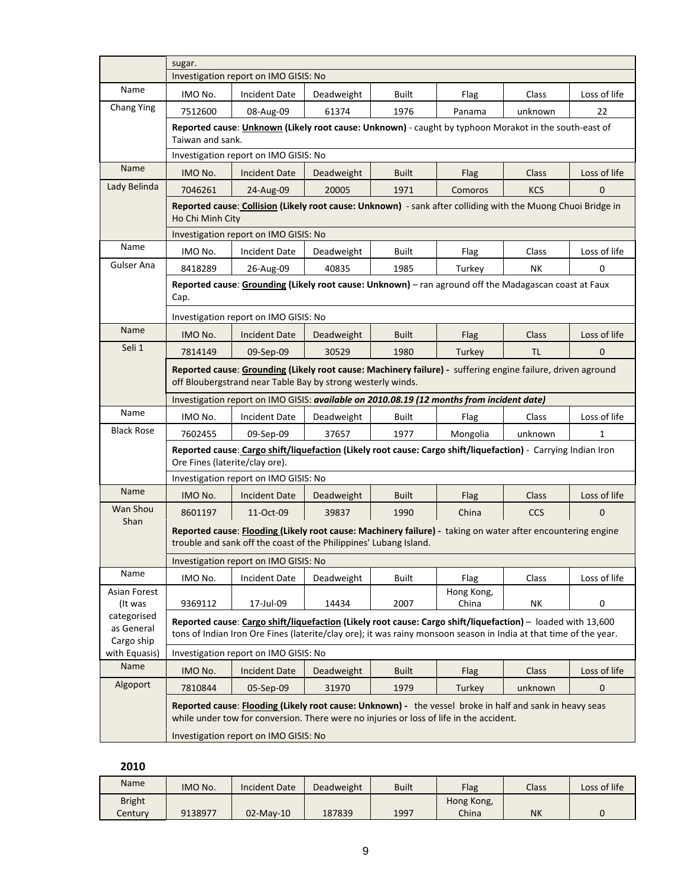|                                         | sugar.                                                                                                                                                                           |                                                                                                                                                                                                                                  |            |              |                     |              |              |  |  |  |
|-----------------------------------------|----------------------------------------------------------------------------------------------------------------------------------------------------------------------------------|----------------------------------------------------------------------------------------------------------------------------------------------------------------------------------------------------------------------------------|------------|--------------|---------------------|--------------|--------------|--|--|--|
| Name                                    |                                                                                                                                                                                  | Investigation report on IMO GISIS: No                                                                                                                                                                                            |            |              |                     |              |              |  |  |  |
| <b>Chang Ying</b>                       | IMO No.                                                                                                                                                                          | <b>Incident Date</b>                                                                                                                                                                                                             | Deadweight | Built        | Flag                | Class        | Loss of life |  |  |  |
|                                         | 7512600                                                                                                                                                                          | 08-Aug-09                                                                                                                                                                                                                        | 61374      | 1976         | Panama              | unknown      | 22           |  |  |  |
|                                         | Taiwan and sank.                                                                                                                                                                 | Reported cause: <i>Unknown</i> (Likely root cause: Unknown) - caught by typhoon Morakot in the south-east of                                                                                                                     |            |              |                     |              |              |  |  |  |
|                                         |                                                                                                                                                                                  | Investigation report on IMO GISIS: No                                                                                                                                                                                            |            |              |                     |              |              |  |  |  |
| Name                                    | IMO No.                                                                                                                                                                          | <b>Incident Date</b>                                                                                                                                                                                                             | Deadweight | <b>Built</b> | Flag                | Class        | Loss of life |  |  |  |
| Lady Belinda                            | 7046261                                                                                                                                                                          | 24-Aug-09                                                                                                                                                                                                                        | 20005      | 1971         | Comoros             | <b>KCS</b>   | $\mathbf{0}$ |  |  |  |
|                                         | Reported cause: Collision (Likely root cause: Unknown) - sank after colliding with the Muong Chuoi Bridge in<br>Ho Chi Minh City                                                 |                                                                                                                                                                                                                                  |            |              |                     |              |              |  |  |  |
|                                         | Investigation report on IMO GISIS: No                                                                                                                                            |                                                                                                                                                                                                                                  |            |              |                     |              |              |  |  |  |
| Name                                    | IMO No.                                                                                                                                                                          | <b>Incident Date</b>                                                                                                                                                                                                             | Deadweight | <b>Built</b> | Flag                | Class        | Loss of life |  |  |  |
| Gulser Ana                              | 8418289                                                                                                                                                                          | 26-Aug-09                                                                                                                                                                                                                        | 40835      | 1985         | Turkey              | <b>NK</b>    | 0            |  |  |  |
|                                         | Reported cause: Grounding (Likely root cause: Unknown) - ran aground off the Madagascan coast at Faux<br>Cap.                                                                    |                                                                                                                                                                                                                                  |            |              |                     |              |              |  |  |  |
|                                         | Investigation report on IMO GISIS: No                                                                                                                                            |                                                                                                                                                                                                                                  |            |              |                     |              |              |  |  |  |
| Name                                    | IMO No.                                                                                                                                                                          | <b>Incident Date</b>                                                                                                                                                                                                             | Deadweight | <b>Built</b> | Flag                | <b>Class</b> | Loss of life |  |  |  |
| Seli 1                                  | 7814149                                                                                                                                                                          | 09-Sep-09                                                                                                                                                                                                                        | 30529      | 1980         | Turkey              | TL.          | $\mathbf{0}$ |  |  |  |
|                                         | off Bloubergstrand near Table Bay by strong westerly winds.                                                                                                                      | Reported cause: Grounding (Likely root cause: Machinery failure) - suffering engine failure, driven aground                                                                                                                      |            |              |                     |              |              |  |  |  |
|                                         | Investigation report on IMO GISIS: available on 2010.08.19 (12 months from incident date)                                                                                        |                                                                                                                                                                                                                                  |            |              |                     |              |              |  |  |  |
| Name                                    | IMO No.                                                                                                                                                                          | <b>Incident Date</b>                                                                                                                                                                                                             | Deadweight | <b>Built</b> | Flag                | Class        | Loss of life |  |  |  |
| <b>Black Rose</b>                       | 7602455                                                                                                                                                                          | 09-Sep-09                                                                                                                                                                                                                        | 37657      | 1977         | Mongolia            | unknown      | $\mathbf{1}$ |  |  |  |
|                                         | Ore Fines (laterite/clay ore).                                                                                                                                                   | Reported cause: Cargo shift/liquefaction (Likely root cause: Cargo shift/liquefaction) - Carrying Indian Iron                                                                                                                    |            |              |                     |              |              |  |  |  |
|                                         |                                                                                                                                                                                  | Investigation report on IMO GISIS: No                                                                                                                                                                                            |            |              |                     |              |              |  |  |  |
| <b>Name</b>                             | IMO No.                                                                                                                                                                          | <b>Incident Date</b>                                                                                                                                                                                                             | Deadweight | <b>Built</b> | Flag                | <b>Class</b> | Loss of life |  |  |  |
| Wan Shou                                | 8601197                                                                                                                                                                          | 11-Oct-09                                                                                                                                                                                                                        | 39837      | 1990         | China               | <b>CCS</b>   | $\mathbf{0}$ |  |  |  |
| Shan                                    | Reported cause: Flooding (Likely root cause: Machinery failure) - taking on water after encountering engine<br>trouble and sank off the coast of the Philippines' Lubang Island. |                                                                                                                                                                                                                                  |            |              |                     |              |              |  |  |  |
|                                         |                                                                                                                                                                                  | Investigation report on IMO GISIS: No                                                                                                                                                                                            |            |              |                     |              |              |  |  |  |
| Name                                    | IMO No.                                                                                                                                                                          | <b>Incident Date</b>                                                                                                                                                                                                             | Deadweight | Built        | Flag                | Class        | Loss of life |  |  |  |
| Asian Forest<br>(It was                 | 9369112                                                                                                                                                                          | 17-Jul-09                                                                                                                                                                                                                        | 14434      | 2007         | Hong Kong,<br>China | NΚ           | 0            |  |  |  |
| categorised<br>as General<br>Cargo ship |                                                                                                                                                                                  | Reported cause: Cargo shift/liquefaction (Likely root cause: Cargo shift/liquefaction) - loaded with 13,600<br>tons of Indian Iron Ore Fines (laterite/clay ore); it was rainy monsoon season in India at that time of the year. |            |              |                     |              |              |  |  |  |
| with Equasis)                           |                                                                                                                                                                                  | Investigation report on IMO GISIS: No                                                                                                                                                                                            |            |              |                     |              |              |  |  |  |
| Name                                    | IMO No.                                                                                                                                                                          | <b>Incident Date</b>                                                                                                                                                                                                             | Deadweight | <b>Built</b> | Flag                | Class        | Loss of life |  |  |  |
| Algoport                                | 7810844                                                                                                                                                                          | 05-Sep-09                                                                                                                                                                                                                        | 31970      | 1979         | Turkey              | unknown      | $\mathbf 0$  |  |  |  |
|                                         |                                                                                                                                                                                  | Reported cause: <b>Flooding (Likely root cause: Unknown)</b> - the vessel broke in half and sank in heavy seas<br>while under tow for conversion. There were no injuries or loss of life in the accident.                        |            |              |                     |              |              |  |  |  |
|                                         |                                                                                                                                                                                  | Investigation report on IMO GISIS: No                                                                                                                                                                                            |            |              |                     |              |              |  |  |  |

| Name          | IMO No. | <b>Incident Date</b> | Deadweight | <b>Built</b> | Flag       | Class     | Loss of life |
|---------------|---------|----------------------|------------|--------------|------------|-----------|--------------|
| <b>Bright</b> |         |                      |            |              | Hong Kong, |           |              |
| Centurv       | 9138977 | 02-May-10            | 187839     | 1997         | China      | <b>NK</b> |              |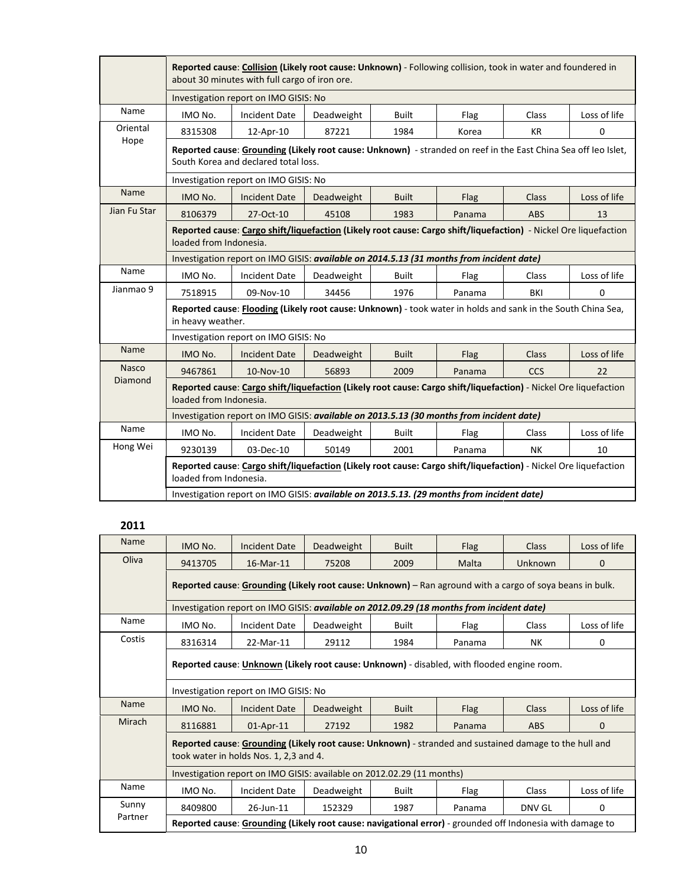|              |                                       | Reported cause: Collision (Likely root cause: Unknown) - Following collision, took in water and foundered in<br>about 30 minutes with full cargo of iron ore. |            |              |        |              |              |  |  |  |
|--------------|---------------------------------------|---------------------------------------------------------------------------------------------------------------------------------------------------------------|------------|--------------|--------|--------------|--------------|--|--|--|
|              | Investigation report on IMO GISIS: No |                                                                                                                                                               |            |              |        |              |              |  |  |  |
| Name         | IMO No.                               | <b>Incident Date</b>                                                                                                                                          | Deadweight | <b>Built</b> | Flag   | Class        | Loss of life |  |  |  |
| Oriental     | 8315308                               | 12-Apr-10                                                                                                                                                     | 87221      | 1984         | Korea  | <b>KR</b>    | 0            |  |  |  |
| Hope         |                                       | Reported cause: Grounding (Likely root cause: Unknown) - stranded on reef in the East China Sea off leo Islet,<br>South Korea and declared total loss.        |            |              |        |              |              |  |  |  |
|              |                                       | Investigation report on IMO GISIS: No                                                                                                                         |            |              |        |              |              |  |  |  |
| Name         | IMO No.                               | <b>Incident Date</b>                                                                                                                                          | Deadweight | <b>Built</b> | Flag   | <b>Class</b> | Loss of life |  |  |  |
| Jian Fu Star | 8106379                               | 27-Oct-10                                                                                                                                                     | 45108      | 1983         | Panama | <b>ABS</b>   | 13           |  |  |  |
|              |                                       | Reported cause: Cargo shift/liquefaction (Likely root cause: Cargo shift/liquefaction) - Nickel Ore liquefaction<br>loaded from Indonesia.                    |            |              |        |              |              |  |  |  |
|              |                                       | Investigation report on IMO GISIS: available on 2014.5.13 (31 months from incident date)                                                                      |            |              |        |              |              |  |  |  |
| Name         | IMO No.                               | <b>Incident Date</b>                                                                                                                                          | Deadweight | <b>Built</b> | Flag   | Class        | Loss of life |  |  |  |
| Jianmao 9    | 7518915                               | 09-Nov-10                                                                                                                                                     | 34456      | 1976         | Panama | BKI          | 0            |  |  |  |
|              | in heavy weather.                     | Reported cause: Flooding (Likely root cause: Unknown) - took water in holds and sank in the South China Sea,                                                  |            |              |        |              |              |  |  |  |
|              |                                       | Investigation report on IMO GISIS: No                                                                                                                         |            |              |        |              |              |  |  |  |
| Name         | IMO No.                               | <b>Incident Date</b>                                                                                                                                          | Deadweight | <b>Built</b> | Flag   | <b>Class</b> | Loss of life |  |  |  |
| <b>Nasco</b> | 9467861                               | 10-Nov-10                                                                                                                                                     | 56893      | 2009         | Panama | <b>CCS</b>   | 22           |  |  |  |
| Diamond      | loaded from Indonesia.                | Reported cause: Cargo shift/liquefaction (Likely root cause: Cargo shift/liquefaction) - Nickel Ore liquefaction                                              |            |              |        |              |              |  |  |  |
|              |                                       | Investigation report on IMO GISIS: available on 2013.5.13 (30 months from incident date)                                                                      |            |              |        |              |              |  |  |  |
| Name         | IMO No.                               | <b>Incident Date</b>                                                                                                                                          | Deadweight | <b>Built</b> | Flag   | Class        | Loss of life |  |  |  |
| Hong Wei     | 9230139                               | 03-Dec-10                                                                                                                                                     | 50149      | 2001         | Panama | <b>NK</b>    | 10           |  |  |  |
|              | loaded from Indonesia.                | Reported cause: Cargo shift/liquefaction (Likely root cause: Cargo shift/liquefaction) - Nickel Ore liquefaction                                              |            |              |        |              |              |  |  |  |
|              |                                       | Investigation report on IMO GISIS: available on 2013.5.13. (29 months from incident date)                                                                     |            |              |        |              |              |  |  |  |

| Name        | IMO No.                                                                                                                                          | <b>Incident Date</b>                                                                                      | Deadweight | <b>Built</b> | <b>Flag</b> | <b>Class</b> | Loss of life |  |  |  |  |
|-------------|--------------------------------------------------------------------------------------------------------------------------------------------------|-----------------------------------------------------------------------------------------------------------|------------|--------------|-------------|--------------|--------------|--|--|--|--|
| Oliva       | 9413705                                                                                                                                          | 16-Mar-11                                                                                                 | 75208      | 2009         | Malta       | Unknown      | 0            |  |  |  |  |
|             | Reported cause: Grounding (Likely root cause: Unknown) – Ran aground with a cargo of soya beans in bulk.                                         |                                                                                                           |            |              |             |              |              |  |  |  |  |
|             |                                                                                                                                                  | Investigation report on IMO GISIS: available on 2012.09.29 (18 months from incident date)                 |            |              |             |              |              |  |  |  |  |
| Name        | IMO No.                                                                                                                                          | <b>Incident Date</b>                                                                                      | Deadweight | <b>Built</b> | Flag        | Class        | Loss of life |  |  |  |  |
| Costis      | 8316314                                                                                                                                          | 22-Mar-11                                                                                                 | 29112      | 1984         | Panama      | <b>NK</b>    | 0            |  |  |  |  |
|             | Reported cause: Unknown (Likely root cause: Unknown) - disabled, with flooded engine room.                                                       |                                                                                                           |            |              |             |              |              |  |  |  |  |
|             | Investigation report on IMO GISIS: No                                                                                                            |                                                                                                           |            |              |             |              |              |  |  |  |  |
| <b>Name</b> | IMO No.                                                                                                                                          | Incident Date                                                                                             | Deadweight | <b>Built</b> | Flag        | <b>Class</b> | Loss of life |  |  |  |  |
| Mirach      | 8116881                                                                                                                                          | 01-Apr-11                                                                                                 | 27192      | 1982         | Panama      | <b>ABS</b>   | $\Omega$     |  |  |  |  |
|             | Reported cause: Grounding (Likely root cause: Unknown) - stranded and sustained damage to the hull and<br>took water in holds Nos. 1, 2,3 and 4. |                                                                                                           |            |              |             |              |              |  |  |  |  |
|             |                                                                                                                                                  | Investigation report on IMO GISIS: available on 2012.02.29 (11 months)                                    |            |              |             |              |              |  |  |  |  |
| Name        | IMO No.                                                                                                                                          | <b>Incident Date</b>                                                                                      | Deadweight | <b>Built</b> | Flag        | Class        | Loss of life |  |  |  |  |
| Sunny       | 8409800                                                                                                                                          | 26-Jun-11                                                                                                 | 152329     | 1987         | Panama      | DNV GL       | 0            |  |  |  |  |
| Partner     |                                                                                                                                                  | Reported cause: Grounding (Likely root cause: navigational error) - grounded off Indonesia with damage to |            |              |             |              |              |  |  |  |  |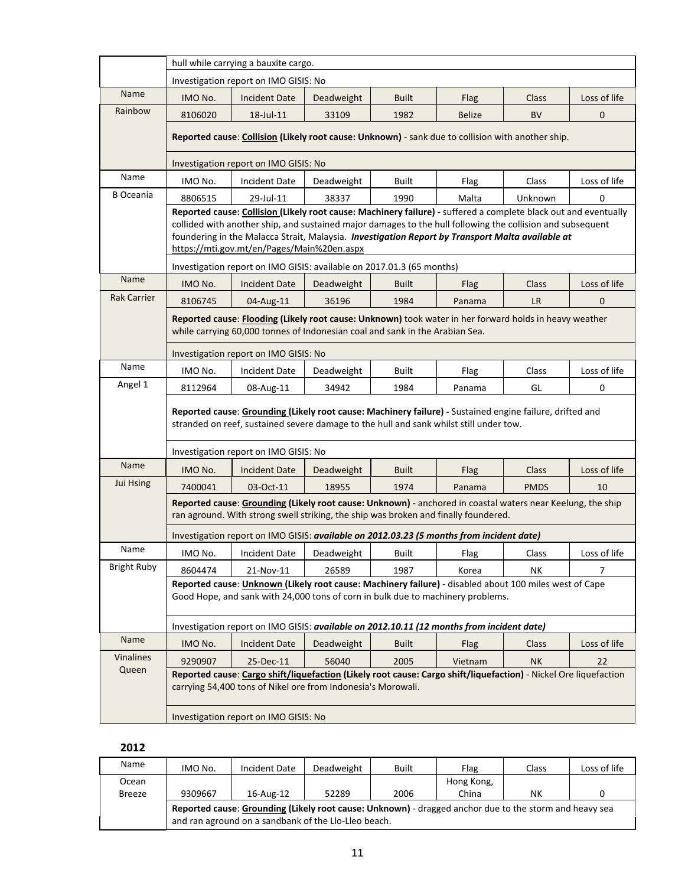|                    |                                                                                                   | hull while carrying a bauxite cargo.                                                                                                                                                                                                                                                                                                                                            |            |              |               |             |                |  |  |  |
|--------------------|---------------------------------------------------------------------------------------------------|---------------------------------------------------------------------------------------------------------------------------------------------------------------------------------------------------------------------------------------------------------------------------------------------------------------------------------------------------------------------------------|------------|--------------|---------------|-------------|----------------|--|--|--|
|                    |                                                                                                   | Investigation report on IMO GISIS: No                                                                                                                                                                                                                                                                                                                                           |            |              |               |             |                |  |  |  |
| Name               | IMO No.                                                                                           | <b>Incident Date</b>                                                                                                                                                                                                                                                                                                                                                            | Deadweight | <b>Built</b> | Flag          | Class       | Loss of life   |  |  |  |
| Rainbow            | 8106020                                                                                           | 18-Jul-11                                                                                                                                                                                                                                                                                                                                                                       | 33109      | 1982         | <b>Belize</b> | <b>BV</b>   | 0              |  |  |  |
|                    | Reported cause: Collision (Likely root cause: Unknown) - sank due to collision with another ship. |                                                                                                                                                                                                                                                                                                                                                                                 |            |              |               |             |                |  |  |  |
|                    | Investigation report on IMO GISIS: No                                                             |                                                                                                                                                                                                                                                                                                                                                                                 |            |              |               |             |                |  |  |  |
| Name               | IMO No.                                                                                           | Incident Date                                                                                                                                                                                                                                                                                                                                                                   | Deadweight | Built        | Flag          | Class       | Loss of life   |  |  |  |
| <b>B</b> Oceania   | 8806515                                                                                           | 29-Jul-11                                                                                                                                                                                                                                                                                                                                                                       | 38337      | 1990         | Malta         | Unknown     | 0              |  |  |  |
|                    |                                                                                                   | Reported cause: Collision (Likely root cause: Machinery failure) - suffered a complete black out and eventually<br>collided with another ship, and sustained major damages to the hull following the collision and subsequent<br>foundering in the Malacca Strait, Malaysia. Investigation Report by Transport Malta available at<br>https://mti.gov.mt/en/Pages/Main%20en.aspx |            |              |               |             |                |  |  |  |
|                    |                                                                                                   | Investigation report on IMO GISIS: available on 2017.01.3 (65 months)                                                                                                                                                                                                                                                                                                           |            |              |               |             |                |  |  |  |
| Name               | IMO No.                                                                                           | <b>Incident Date</b>                                                                                                                                                                                                                                                                                                                                                            | Deadweight | <b>Built</b> | Flag          | Class       | Loss of life   |  |  |  |
| <b>Rak Carrier</b> | 8106745                                                                                           | 04-Aug-11                                                                                                                                                                                                                                                                                                                                                                       | 36196      | 1984         | Panama        | <b>LR</b>   | $\mathbf 0$    |  |  |  |
|                    |                                                                                                   | Reported cause: Flooding (Likely root cause: Unknown) took water in her forward holds in heavy weather<br>while carrying 60,000 tonnes of Indonesian coal and sank in the Arabian Sea.                                                                                                                                                                                          |            |              |               |             |                |  |  |  |
|                    |                                                                                                   | Investigation report on IMO GISIS: No                                                                                                                                                                                                                                                                                                                                           |            |              |               |             |                |  |  |  |
| Name               | IMO No.                                                                                           | <b>Incident Date</b>                                                                                                                                                                                                                                                                                                                                                            | Deadweight | Built        | Flag          | Class       | Loss of life   |  |  |  |
| Angel 1            | 8112964                                                                                           | 08-Aug-11                                                                                                                                                                                                                                                                                                                                                                       | 34942      | 1984         | Panama        | GL          | 0              |  |  |  |
|                    |                                                                                                   | Reported cause: Grounding (Likely root cause: Machinery failure) - Sustained engine failure, drifted and<br>stranded on reef, sustained severe damage to the hull and sank whilst still under tow.                                                                                                                                                                              |            |              |               |             |                |  |  |  |
|                    |                                                                                                   | Investigation report on IMO GISIS: No                                                                                                                                                                                                                                                                                                                                           |            |              |               |             |                |  |  |  |
| Name               | IMO No.                                                                                           | <b>Incident Date</b>                                                                                                                                                                                                                                                                                                                                                            | Deadweight | <b>Built</b> | Flag          | Class       | Loss of life   |  |  |  |
| Jui Hsing          | 7400041                                                                                           | 03-Oct-11                                                                                                                                                                                                                                                                                                                                                                       | 18955      | 1974         | Panama        | <b>PMDS</b> | 10             |  |  |  |
|                    |                                                                                                   | Reported cause: Grounding (Likely root cause: Unknown) - anchored in coastal waters near Keelung, the ship<br>ran aground. With strong swell striking, the ship was broken and finally foundered.                                                                                                                                                                               |            |              |               |             |                |  |  |  |
|                    |                                                                                                   | Investigation report on IMO GISIS: available on 2012.03.23 (5 months from incident date)                                                                                                                                                                                                                                                                                        |            |              |               |             |                |  |  |  |
| Name               | IMO No.                                                                                           | <b>Incident Date</b>                                                                                                                                                                                                                                                                                                                                                            | Deadweight | Built        | Flag          | Class       | Loss of life   |  |  |  |
| <b>Bright Ruby</b> | 8604474                                                                                           | 21-Nov-11                                                                                                                                                                                                                                                                                                                                                                       | 26589      | 1987         | Korea         | NΚ          | $\overline{7}$ |  |  |  |
|                    |                                                                                                   | Reported cause: <i>Unknown</i> (Likely root cause: Machinery failure) - disabled about 100 miles west of Cape<br>Good Hope, and sank with 24,000 tons of corn in bulk due to machinery problems.                                                                                                                                                                                |            |              |               |             |                |  |  |  |
|                    |                                                                                                   | Investigation report on IMO GISIS: available on 2012.10.11 (12 months from incident date)                                                                                                                                                                                                                                                                                       |            |              |               |             |                |  |  |  |
| Name               | IMO No.                                                                                           | <b>Incident Date</b>                                                                                                                                                                                                                                                                                                                                                            | Deadweight | <b>Built</b> | Flag          | Class       | Loss of life   |  |  |  |
| Vinalines          | 9290907                                                                                           | 25-Dec-11                                                                                                                                                                                                                                                                                                                                                                       | 56040      | 2005         | Vietnam       | <b>NK</b>   | 22             |  |  |  |
| Queen              |                                                                                                   | Reported cause: Cargo shift/liquefaction (Likely root cause: Cargo shift/liquefaction) - Nickel Ore liquefaction<br>carrying 54,400 tons of Nikel ore from Indonesia's Morowali.                                                                                                                                                                                                |            |              |               |             |                |  |  |  |
|                    |                                                                                                   | Investigation report on IMO GISIS: No                                                                                                                                                                                                                                                                                                                                           |            |              |               |             |                |  |  |  |

| Name          | IMO No.                                                                                                                                                        | Incident Date | Deadweight | <b>Built</b> | Flag       | Class | Loss of life |  |  |  |
|---------------|----------------------------------------------------------------------------------------------------------------------------------------------------------------|---------------|------------|--------------|------------|-------|--------------|--|--|--|
| Ocean         |                                                                                                                                                                |               |            |              | Hong Kong, |       |              |  |  |  |
| <b>Breeze</b> | 9309667                                                                                                                                                        | 16-Aug-12     | 52289      | 2006         | China      | NΚ    | O            |  |  |  |
|               | Reported cause: Grounding (Likely root cause: Unknown) - dragged anchor due to the storm and heavy sea<br>and ran aground on a sandbank of the Llo-Lleo beach. |               |            |              |            |       |              |  |  |  |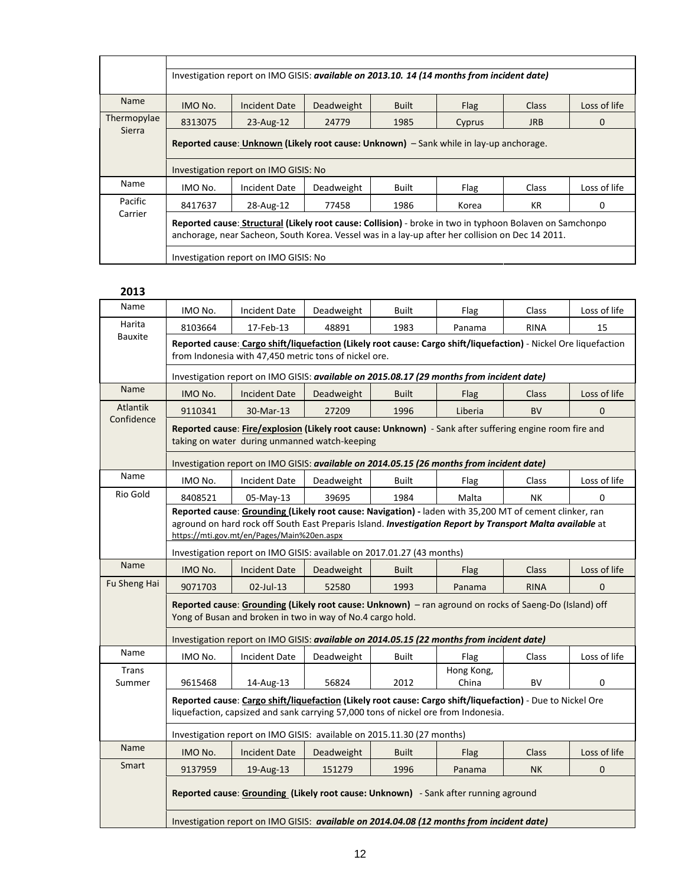|             | Investigation report on IMO GISIS: available on 2013.10. 14 (14 months from incident date)                                                                                                                   |                                                                                        |            |              |        |              |              |  |  |  |  |
|-------------|--------------------------------------------------------------------------------------------------------------------------------------------------------------------------------------------------------------|----------------------------------------------------------------------------------------|------------|--------------|--------|--------------|--------------|--|--|--|--|
| <b>Name</b> | Loss of life<br>IMO No.<br><b>Incident Date</b><br>Deadweight<br>Built<br>Flag<br><b>Class</b>                                                                                                               |                                                                                        |            |              |        |              |              |  |  |  |  |
| Thermopylae | 8313075                                                                                                                                                                                                      | 23-Aug-12                                                                              | 24779      | 1985         | Cyprus | <b>JRB</b>   | 0            |  |  |  |  |
| Sierra      |                                                                                                                                                                                                              | Reported cause: Unknown (Likely root cause: Unknown) – Sank while in lay-up anchorage. |            |              |        |              |              |  |  |  |  |
|             |                                                                                                                                                                                                              | Investigation report on IMO GISIS: No                                                  |            |              |        |              |              |  |  |  |  |
| Name        | IMO No.                                                                                                                                                                                                      | Incident Date                                                                          | Deadweight | <b>Built</b> | Flag   | <b>Class</b> | Loss of life |  |  |  |  |
| Pacific     | 8417637                                                                                                                                                                                                      | 28-Aug-12                                                                              | 77458      | 1986         | Korea  | KR           | 0            |  |  |  |  |
| Carrier     | Reported cause: Structural (Likely root cause: Collision) - broke in two in typhoon Bolaven on Samchonpo<br>anchorage, near Sacheon, South Korea. Vessel was in a lay-up after her collision on Dec 14 2011. |                                                                                        |            |              |        |              |              |  |  |  |  |
|             |                                                                                                                                                                                                              | Investigation report on IMO GISIS: No                                                  |            |              |        |              |              |  |  |  |  |

| Name            | IMO No.                                                                                                                                                                                                                                                            | <b>Incident Date</b>                                                                                                                                                                             | Deadweight | <b>Built</b> | Flag       | Class        | Loss of life |  |  |  |  |
|-----------------|--------------------------------------------------------------------------------------------------------------------------------------------------------------------------------------------------------------------------------------------------------------------|--------------------------------------------------------------------------------------------------------------------------------------------------------------------------------------------------|------------|--------------|------------|--------------|--------------|--|--|--|--|
| Harita          | 8103664                                                                                                                                                                                                                                                            | 17-Feb-13                                                                                                                                                                                        | 48891      | 1983         | Panama     | <b>RINA</b>  | 15           |  |  |  |  |
| Bauxite         |                                                                                                                                                                                                                                                                    | Reported cause: Cargo shift/liquefaction (Likely root cause: Cargo shift/liquefaction) - Nickel Ore liquefaction<br>from Indonesia with 47,450 metric tons of nickel ore.                        |            |              |            |              |              |  |  |  |  |
|                 | Investigation report on IMO GISIS: available on 2015.08.17 (29 months from incident date)                                                                                                                                                                          |                                                                                                                                                                                                  |            |              |            |              |              |  |  |  |  |
| Name            | IMO No.                                                                                                                                                                                                                                                            | <b>Incident Date</b>                                                                                                                                                                             | Deadweight | <b>Built</b> | Flag       | <b>Class</b> | Loss of life |  |  |  |  |
| <b>Atlantik</b> | 9110341<br>27209<br>1996<br>Liberia<br><b>BV</b><br>30-Mar-13<br>$\Omega$                                                                                                                                                                                          |                                                                                                                                                                                                  |            |              |            |              |              |  |  |  |  |
| Confidence      |                                                                                                                                                                                                                                                                    | Reported cause: Fire/explosion (Likely root cause: Unknown) - Sank after suffering engine room fire and<br>taking on water during unmanned watch-keeping                                         |            |              |            |              |              |  |  |  |  |
|                 |                                                                                                                                                                                                                                                                    | Investigation report on IMO GISIS: available on 2014.05.15 (26 months from incident date)                                                                                                        |            |              |            |              |              |  |  |  |  |
| Name            | Loss of life<br>IMO No.<br>Incident Date<br>Deadweight<br><b>Built</b><br>Flag<br>Class                                                                                                                                                                            |                                                                                                                                                                                                  |            |              |            |              |              |  |  |  |  |
| Rio Gold        | 8408521<br>05-May-13<br>39695<br>1984<br>Malta<br>NΚ<br>0                                                                                                                                                                                                          |                                                                                                                                                                                                  |            |              |            |              |              |  |  |  |  |
|                 | Reported cause: Grounding (Likely root cause: Navigation) - laden with 35,200 MT of cement clinker, ran<br>aground on hard rock off South East Preparis Island. Investigation Report by Transport Malta available at<br>https://mti.gov.mt/en/Pages/Main%20en.aspx |                                                                                                                                                                                                  |            |              |            |              |              |  |  |  |  |
|                 | Investigation report on IMO GISIS: available on 2017.01.27 (43 months)                                                                                                                                                                                             |                                                                                                                                                                                                  |            |              |            |              |              |  |  |  |  |
| Name            | IMO No.                                                                                                                                                                                                                                                            | <b>Incident Date</b>                                                                                                                                                                             | Deadweight | <b>Built</b> | Flag       | <b>Class</b> | Loss of life |  |  |  |  |
| Fu Sheng Hai    | 9071703                                                                                                                                                                                                                                                            | 02-Jul-13                                                                                                                                                                                        | 52580      | 1993         | Panama     | <b>RINA</b>  | $\mathbf{0}$ |  |  |  |  |
|                 |                                                                                                                                                                                                                                                                    | Reported cause: Grounding (Likely root cause: Unknown) - ran aground on rocks of Saeng-Do (Island) off<br>Yong of Busan and broken in two in way of No.4 cargo hold.                             |            |              |            |              |              |  |  |  |  |
|                 |                                                                                                                                                                                                                                                                    | Investigation report on IMO GISIS: available on 2014.05.15 (22 months from incident date)                                                                                                        |            |              |            |              |              |  |  |  |  |
| Name            | IMO No.                                                                                                                                                                                                                                                            | <b>Incident Date</b>                                                                                                                                                                             | Deadweight | <b>Built</b> | Flag       | Class        | Loss of life |  |  |  |  |
| <b>Trans</b>    |                                                                                                                                                                                                                                                                    |                                                                                                                                                                                                  |            |              | Hong Kong, |              |              |  |  |  |  |
| Summer          | 9615468                                                                                                                                                                                                                                                            | 14-Aug-13                                                                                                                                                                                        | 56824      | 2012         | China      | <b>BV</b>    | 0            |  |  |  |  |
|                 |                                                                                                                                                                                                                                                                    | Reported cause: Cargo shift/liquefaction (Likely root cause: Cargo shift/liquefaction) - Due to Nickel Ore<br>liquefaction, capsized and sank carrying 57,000 tons of nickel ore from Indonesia. |            |              |            |              |              |  |  |  |  |
|                 |                                                                                                                                                                                                                                                                    | Investigation report on IMO GISIS: available on 2015.11.30 (27 months)                                                                                                                           |            |              |            |              |              |  |  |  |  |
| Name            | IMO No.                                                                                                                                                                                                                                                            | <b>Incident Date</b>                                                                                                                                                                             | Deadweight | <b>Built</b> | Flag       | Class        | Loss of life |  |  |  |  |
| Smart           | 9137959                                                                                                                                                                                                                                                            | 19-Aug-13                                                                                                                                                                                        | 151279     | 1996         | Panama     | <b>NK</b>    | $\mathbf 0$  |  |  |  |  |
|                 |                                                                                                                                                                                                                                                                    | Reported cause: Grounding (Likely root cause: Unknown) - Sank after running aground                                                                                                              |            |              |            |              |              |  |  |  |  |
|                 |                                                                                                                                                                                                                                                                    | Investigation report on IMO GISIS: available on 2014.04.08 (12 months from incident date)                                                                                                        |            |              |            |              |              |  |  |  |  |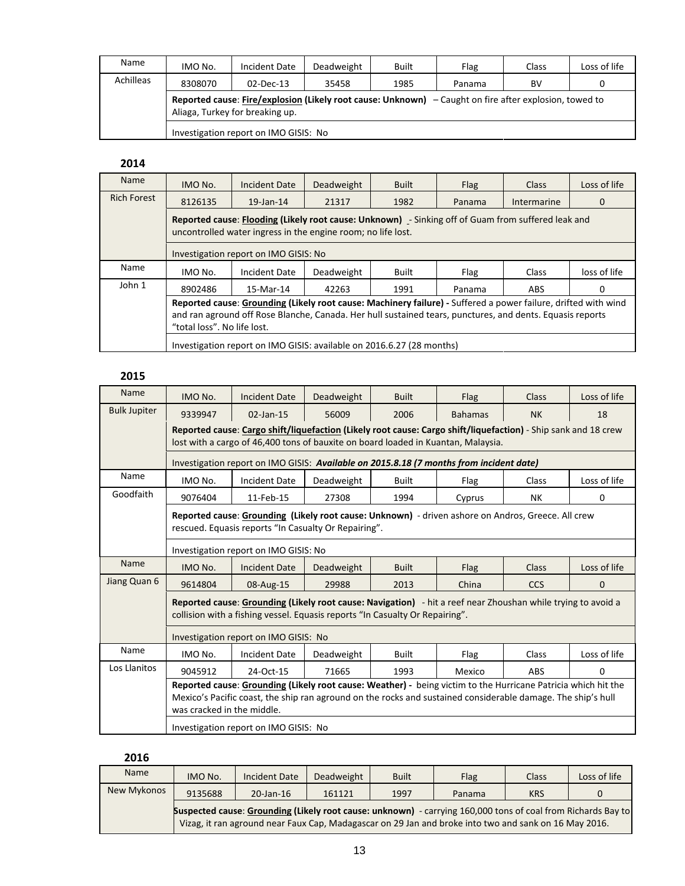| Name      | IMO No.                                                                                                                                     | Incident Date                         | Deadweight | <b>Built</b> | Flag   | Class | Loss of life |  |  |  |
|-----------|---------------------------------------------------------------------------------------------------------------------------------------------|---------------------------------------|------------|--------------|--------|-------|--------------|--|--|--|
| Achilleas | 8308070                                                                                                                                     | $02$ -Dec-13                          | 35458      | 1985         | Panama | BV    | 0            |  |  |  |
|           | Reported cause: Fire/explosion (Likely root cause: Unknown) $-$ Caught on fire after explosion, towed to<br>Aliaga, Turkey for breaking up. |                                       |            |              |        |       |              |  |  |  |
|           |                                                                                                                                             | Investigation report on IMO GISIS: No |            |              |        |       |              |  |  |  |

| <b>Name</b>        | IMO No.                                                                                                                                                                                                                                                    | Incident Date                                                         | Deadweight | <b>Built</b> | <b>Flag</b> | <b>Class</b> | Loss of life |  |  |  |
|--------------------|------------------------------------------------------------------------------------------------------------------------------------------------------------------------------------------------------------------------------------------------------------|-----------------------------------------------------------------------|------------|--------------|-------------|--------------|--------------|--|--|--|
| <b>Rich Forest</b> | 8126135                                                                                                                                                                                                                                                    | $19$ -Jan- $14$                                                       | 21317      | 1982         | Panama      | Intermarine  | 0            |  |  |  |
|                    | Reported cause: Flooding (Likely root cause: Unknown) - Sinking off of Guam from suffered leak and<br>uncontrolled water ingress in the engine room; no life lost.                                                                                         |                                                                       |            |              |             |              |              |  |  |  |
|                    | Investigation report on IMO GISIS: No                                                                                                                                                                                                                      |                                                                       |            |              |             |              |              |  |  |  |
| <b>Name</b>        | Deadweight<br>Built<br>loss of life<br>IMO No.<br>Incident Date<br><b>Class</b><br>Flag                                                                                                                                                                    |                                                                       |            |              |             |              |              |  |  |  |
| John 1             | 8902486                                                                                                                                                                                                                                                    | 15-Mar-14                                                             | 42263      | 1991         | Panama      | ABS          | 0            |  |  |  |
|                    | Reported cause: Grounding (Likely root cause: Machinery failure) - Suffered a power failure, drifted with wind<br>and ran aground off Rose Blanche, Canada. Her hull sustained tears, punctures, and dents. Equasis reports<br>"total loss". No life lost. |                                                                       |            |              |             |              |              |  |  |  |
|                    |                                                                                                                                                                                                                                                            | Investigation report on IMO GISIS: available on 2016.6.27 (28 months) |            |              |             |              |              |  |  |  |

#### **2015**

| <b>Name</b>         | IMO No.                                                                                                                                                                                                                                                     | <b>Incident Date</b>                                                                                                                                                                         | Deadweight | <b>Built</b> | Flag           | Class        | Loss of life |  |  |  |  |
|---------------------|-------------------------------------------------------------------------------------------------------------------------------------------------------------------------------------------------------------------------------------------------------------|----------------------------------------------------------------------------------------------------------------------------------------------------------------------------------------------|------------|--------------|----------------|--------------|--------------|--|--|--|--|
| <b>Bulk Jupiter</b> | 9339947                                                                                                                                                                                                                                                     | 02-Jan-15                                                                                                                                                                                    | 56009      | 2006         | <b>Bahamas</b> | <b>NK</b>    | 18           |  |  |  |  |
|                     |                                                                                                                                                                                                                                                             | Reported cause: Cargo shift/liquefaction (Likely root cause: Cargo shift/liquefaction) - Ship sank and 18 crew                                                                               |            |              |                |              |              |  |  |  |  |
|                     | lost with a cargo of 46,400 tons of bauxite on board loaded in Kuantan, Malaysia.                                                                                                                                                                           |                                                                                                                                                                                              |            |              |                |              |              |  |  |  |  |
|                     |                                                                                                                                                                                                                                                             | Investigation report on IMO GISIS: Available on 2015.8.18 (7 months from incident date)                                                                                                      |            |              |                |              |              |  |  |  |  |
| Name                | IMO No.                                                                                                                                                                                                                                                     | <b>Incident Date</b>                                                                                                                                                                         | Deadweight | <b>Built</b> | Flag           | <b>Class</b> | Loss of life |  |  |  |  |
| Goodfaith           | 9076404                                                                                                                                                                                                                                                     | 11-Feb-15                                                                                                                                                                                    | 27308      | 1994         | Cyprus         | <b>NK</b>    | $\Omega$     |  |  |  |  |
|                     |                                                                                                                                                                                                                                                             | Reported cause: Grounding (Likely root cause: Unknown) - driven ashore on Andros, Greece. All crew<br>rescued. Equasis reports "In Casualty Or Repairing".                                   |            |              |                |              |              |  |  |  |  |
|                     | Investigation report on IMO GISIS: No                                                                                                                                                                                                                       |                                                                                                                                                                                              |            |              |                |              |              |  |  |  |  |
| Name                | IMO No.                                                                                                                                                                                                                                                     | Loss of life<br><b>Incident Date</b><br>Deadweight<br><b>Built</b><br><b>Class</b><br>Flag                                                                                                   |            |              |                |              |              |  |  |  |  |
| Jiang Quan 6        | 9614804                                                                                                                                                                                                                                                     | 08-Aug-15                                                                                                                                                                                    | 29988      | 2013         | China          | <b>CCS</b>   | $\Omega$     |  |  |  |  |
|                     |                                                                                                                                                                                                                                                             | Reported cause: Grounding (Likely root cause: Navigation) - hit a reef near Zhoushan while trying to avoid a<br>collision with a fishing vessel. Equasis reports "In Casualty Or Repairing". |            |              |                |              |              |  |  |  |  |
|                     |                                                                                                                                                                                                                                                             | Investigation report on IMO GISIS: No                                                                                                                                                        |            |              |                |              |              |  |  |  |  |
| Name                | IMO No.                                                                                                                                                                                                                                                     | <b>Incident Date</b>                                                                                                                                                                         | Deadweight | <b>Built</b> | Flag           | Class        | Loss of life |  |  |  |  |
| Los Llanitos        | 9045912                                                                                                                                                                                                                                                     | 24-Oct-15                                                                                                                                                                                    | 71665      | 1993         | Mexico         | ABS          | $\Omega$     |  |  |  |  |
|                     | Reported cause: Grounding (Likely root cause: Weather) - being victim to the Hurricane Patricia which hit the<br>Mexico's Pacific coast, the ship ran aground on the rocks and sustained considerable damage. The ship's hull<br>was cracked in the middle. |                                                                                                                                                                                              |            |              |                |              |              |  |  |  |  |
|                     | Investigation report on IMO GISIS: No                                                                                                                                                                                                                       |                                                                                                                                                                                              |            |              |                |              |              |  |  |  |  |

| Name        | IMO No. | Incident Date                                                                                                                                                                                                         | Deadweight | <b>Built</b> | <b>Flag</b> | Class      | Loss of life |
|-------------|---------|-----------------------------------------------------------------------------------------------------------------------------------------------------------------------------------------------------------------------|------------|--------------|-------------|------------|--------------|
| New Mykonos | 9135688 | $20$ -Jan-16                                                                                                                                                                                                          | 161121     | 1997         | Panama      | <b>KRS</b> | 0            |
|             |         | Suspected cause: Grounding (Likely root cause: unknown) - carrying 160,000 tons of coal from Richards Bay to<br>Vizag, it ran aground near Faux Cap, Madagascar on 29 Jan and broke into two and sank on 16 May 2016. |            |              |             |            |              |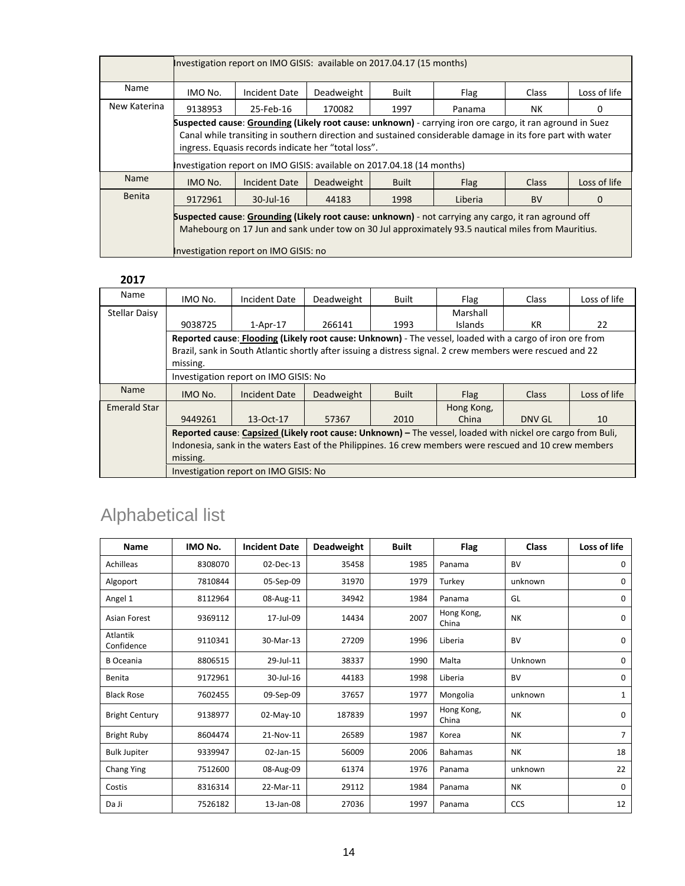|               | Investigation report on IMO GISIS: available on 2017.04.17 (15 months)                                                                                                                                     |                                                                                                            |            |              |         |              |              |  |  |  |
|---------------|------------------------------------------------------------------------------------------------------------------------------------------------------------------------------------------------------------|------------------------------------------------------------------------------------------------------------|------------|--------------|---------|--------------|--------------|--|--|--|
| Name          | IMO No.                                                                                                                                                                                                    | Incident Date                                                                                              | Deadweight | <b>Built</b> | Flag    | <b>Class</b> | Loss of life |  |  |  |
| New Katerina  | 9138953<br>25-Feb-16<br>170082<br>1997<br>NΚ<br>Panama<br>0                                                                                                                                                |                                                                                                            |            |              |         |              |              |  |  |  |
|               |                                                                                                                                                                                                            | Suspected cause: Grounding (Likely root cause: unknown) - carrying iron ore cargo, it ran aground in Suez  |            |              |         |              |              |  |  |  |
|               |                                                                                                                                                                                                            | Canal while transiting in southern direction and sustained considerable damage in its fore part with water |            |              |         |              |              |  |  |  |
|               |                                                                                                                                                                                                            | ingress. Equasis records indicate her "total loss".                                                        |            |              |         |              |              |  |  |  |
|               |                                                                                                                                                                                                            | Investigation report on IMO GISIS: available on 2017.04.18 (14 months)                                     |            |              |         |              |              |  |  |  |
| <b>Name</b>   | IMO No.                                                                                                                                                                                                    | Incident Date                                                                                              | Deadweight | <b>Built</b> | Flag    | <b>Class</b> | Loss of life |  |  |  |
| <b>Benita</b> | 9172961                                                                                                                                                                                                    | $30$ -Jul-16                                                                                               | 44183      | 1998         | Liberia | <b>BV</b>    | 0            |  |  |  |
|               | Suspected cause: Grounding (Likely root cause: unknown) - not carrying any cargo, it ran aground off<br>Mahebourg on 17 Jun and sank under tow on 30 Jul approximately 93.5 nautical miles from Mauritius. |                                                                                                            |            |              |         |              |              |  |  |  |
|               |                                                                                                                                                                                                            | Investigation report on IMO GISIS: no                                                                      |            |              |         |              |              |  |  |  |

| ---           |                                                                                                         |                                                                                                             |            |              |                |        |              |  |  |  |  |
|---------------|---------------------------------------------------------------------------------------------------------|-------------------------------------------------------------------------------------------------------------|------------|--------------|----------------|--------|--------------|--|--|--|--|
| Name          | IMO No.                                                                                                 | Incident Date                                                                                               | Deadweight | <b>Built</b> | Flag           | Class  | Loss of life |  |  |  |  |
| Stellar Daisy |                                                                                                         |                                                                                                             |            |              | Marshall       |        |              |  |  |  |  |
|               | 9038725                                                                                                 | $1-Apr-17$                                                                                                  | 266141     | 1993         | <b>Islands</b> | KR     | 22           |  |  |  |  |
|               |                                                                                                         | Reported cause: Flooding (Likely root cause: Unknown) - The vessel, loaded with a cargo of iron ore from    |            |              |                |        |              |  |  |  |  |
|               |                                                                                                         | Brazil, sank in South Atlantic shortly after issuing a distress signal. 2 crew members were rescued and 22  |            |              |                |        |              |  |  |  |  |
|               | missing.                                                                                                |                                                                                                             |            |              |                |        |              |  |  |  |  |
|               | Investigation report on IMO GISIS: No                                                                   |                                                                                                             |            |              |                |        |              |  |  |  |  |
| <b>Name</b>   | IMO No.                                                                                                 | Incident Date                                                                                               | Deadweight | <b>Built</b> | Flag           | Class  | Loss of life |  |  |  |  |
| Emerald Star  |                                                                                                         |                                                                                                             |            |              | Hong Kong,     |        |              |  |  |  |  |
|               | 9449261                                                                                                 | 13-Oct-17                                                                                                   | 57367      | 2010         | China          | DNV GL | 10           |  |  |  |  |
|               |                                                                                                         | Reported cause: Capsized (Likely root cause: Unknown) – The vessel, loaded with nickel ore cargo from Buli, |            |              |                |        |              |  |  |  |  |
|               | Indonesia, sank in the waters East of the Philippines. 16 crew members were rescued and 10 crew members |                                                                                                             |            |              |                |        |              |  |  |  |  |
|               | missing.                                                                                                |                                                                                                             |            |              |                |        |              |  |  |  |  |
|               |                                                                                                         | Investigation report on IMO GISIS: No                                                                       |            |              |                |        |              |  |  |  |  |

## Alphabetical list

| Name                   | IMO No. | <b>Incident Date</b> | Deadweight | <b>Built</b> | Flag                | <b>Class</b> | Loss of life   |
|------------------------|---------|----------------------|------------|--------------|---------------------|--------------|----------------|
| Achilleas              | 8308070 | 02-Dec-13            | 35458      | 1985         | Panama              | <b>BV</b>    | 0              |
| Algoport               | 7810844 | 05-Sep-09            | 31970      | 1979         | Turkey              | unknown      | 0              |
| Angel 1                | 8112964 | 08-Aug-11            | 34942      | 1984         | Panama              | GL           | $\mathbf 0$    |
| <b>Asian Forest</b>    | 9369112 | 17-Jul-09            | 14434      | 2007         | Hong Kong,<br>China | <b>NK</b>    | $\mathbf 0$    |
| Atlantik<br>Confidence | 9110341 | 30-Mar-13            | 27209      | 1996         | Liberia             | <b>BV</b>    | $\mathbf 0$    |
| <b>B</b> Oceania       | 8806515 | 29-Jul-11            | 38337      | 1990         | Malta               | Unknown      | 0              |
| Benita                 | 9172961 | 30-Jul-16            | 44183      | 1998         | Liberia             | <b>BV</b>    | $\mathbf 0$    |
| <b>Black Rose</b>      | 7602455 | 09-Sep-09            | 37657      | 1977         | Mongolia            | unknown      | 1              |
| <b>Bright Century</b>  | 9138977 | 02-May-10            | 187839     | 1997         | Hong Kong,<br>China | <b>NK</b>    | $\mathbf 0$    |
| <b>Bright Ruby</b>     | 8604474 | 21-Nov-11            | 26589      | 1987         | Korea               | <b>NK</b>    | $\overline{7}$ |
| <b>Bulk Jupiter</b>    | 9339947 | 02-Jan-15            | 56009      | 2006         | <b>Bahamas</b>      | <b>NK</b>    | 18             |
| Chang Ying             | 7512600 | 08-Aug-09            | 61374      | 1976         | Panama              | unknown      | 22             |
| Costis                 | 8316314 | 22-Mar-11            | 29112      | 1984         | Panama              | NΚ           | $\mathbf 0$    |
| Da Ji                  | 7526182 | 13-Jan-08            | 27036      | 1997         | Panama              | <b>CCS</b>   | 12             |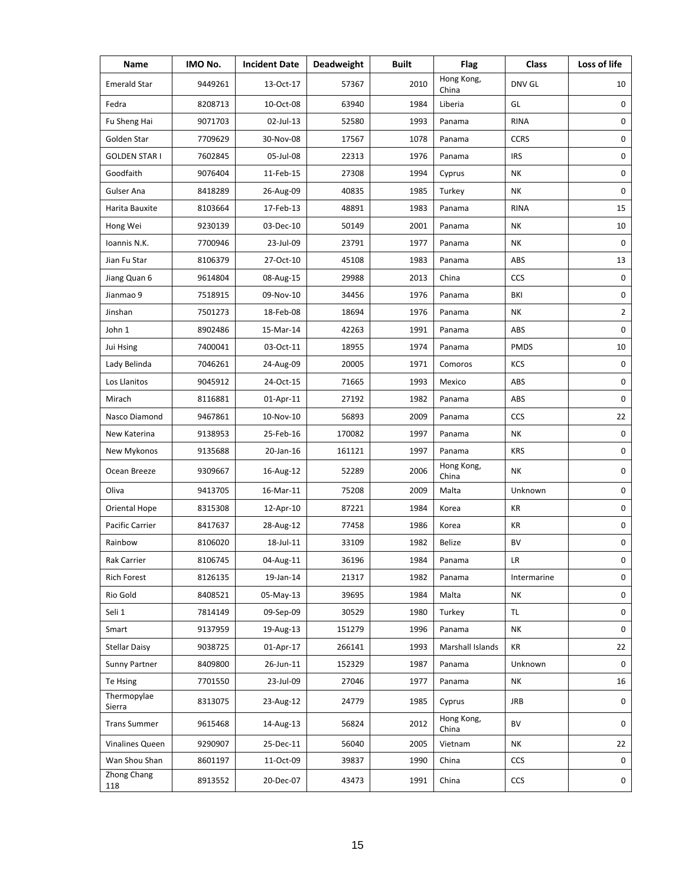| Name                  | IMO No. | <b>Incident Date</b> | <b>Deadweight</b> | <b>Built</b> | Flag                | <b>Class</b> | Loss of life        |
|-----------------------|---------|----------------------|-------------------|--------------|---------------------|--------------|---------------------|
| <b>Emerald Star</b>   | 9449261 | 13-Oct-17            | 57367             | 2010         | Hong Kong,<br>China | DNV GL       | 10                  |
| Fedra                 | 8208713 | 10-Oct-08            | 63940             | 1984         | Liberia             | GL           | 0                   |
| Fu Sheng Hai          | 9071703 | 02-Jul-13            | 52580             | 1993         | Panama              | <b>RINA</b>  | 0                   |
| Golden Star           | 7709629 | 30-Nov-08            | 17567             | 1078         | Panama              | <b>CCRS</b>  | 0                   |
| <b>GOLDEN STAR I</b>  | 7602845 | 05-Jul-08            | 22313             | 1976         | Panama              | <b>IRS</b>   | 0                   |
| Goodfaith             | 9076404 | 11-Feb-15            | 27308             | 1994         | Cyprus              | <b>NK</b>    | 0                   |
| Gulser Ana            | 8418289 | 26-Aug-09            | 40835             | 1985         | Turkey              | NΚ           | 0                   |
| Harita Bauxite        | 8103664 | 17-Feb-13            | 48891             | 1983         | Panama              | <b>RINA</b>  | 15                  |
| Hong Wei              | 9230139 | 03-Dec-10            | 50149             | 2001         | Panama              | NΚ           | 10                  |
| Ioannis N.K.          | 7700946 | 23-Jul-09            | 23791             | 1977         | Panama              | ΝK           | 0                   |
| Jian Fu Star          | 8106379 | 27-Oct-10            | 45108             | 1983         | Panama              | ABS          | 13                  |
| Jiang Quan 6          | 9614804 | 08-Aug-15            | 29988             | 2013         | China               | CCS          | 0                   |
| Jianmao 9             | 7518915 | 09-Nov-10            | 34456             | 1976         | Panama              | BKI          | 0                   |
| Jinshan               | 7501273 | 18-Feb-08            | 18694             | 1976         | Panama              | NΚ           | $\overline{2}$      |
| John 1                | 8902486 | 15-Mar-14            | 42263             | 1991         | Panama              | ABS          | 0                   |
| Jui Hsing             | 7400041 | 03-Oct-11            | 18955             | 1974         | Panama              | <b>PMDS</b>  | 10                  |
| Lady Belinda          | 7046261 | 24-Aug-09            | 20005             | 1971         | Comoros             | KCS          | 0                   |
| Los Llanitos          | 9045912 | 24-Oct-15            | 71665             | 1993         | Mexico              | ABS          | 0                   |
| Mirach                | 8116881 | 01-Apr-11            | 27192             | 1982         | Panama              | ABS          | 0                   |
| Nasco Diamond         | 9467861 | 10-Nov-10            | 56893             | 2009         | Panama              | <b>CCS</b>   | 22                  |
| New Katerina          | 9138953 | 25-Feb-16            | 170082            | 1997         | Panama              | <b>NK</b>    | 0                   |
| New Mykonos           | 9135688 | 20-Jan-16            | 161121            | 1997         | Panama              | <b>KRS</b>   | 0                   |
| Ocean Breeze          | 9309667 | 16-Aug-12            | 52289             | 2006         | Hong Kong,<br>China | ΝK           | 0                   |
| Oliva                 | 9413705 | 16-Mar-11            | 75208             | 2009         | Malta               | Unknown      | 0                   |
| Oriental Hope         | 8315308 | 12-Apr-10            | 87221             | 1984         | Korea               | KR           | 0                   |
| Pacific Carrier       | 8417637 | 28-Aug-12            | 77458             | 1986         | Korea               | KR           | 0                   |
| Rainbow               | 8106020 | 18-Jul-11            | 33109             | 1982         | <b>Belize</b>       | BV           | 0                   |
| Rak Carrier           | 8106745 | 04-Aug-11            | 36196             | 1984         | Panama              | LR           | $\mathsf{O}\xspace$ |
| <b>Rich Forest</b>    | 8126135 | 19-Jan-14            | 21317             | 1982         | Panama              | Intermarine  | 0                   |
| Rio Gold              | 8408521 | 05-May-13            | 39695             | 1984         | Malta               | NΚ           | 0                   |
| Seli 1                | 7814149 | 09-Sep-09            | 30529             | 1980         | Turkey              | TL.          | 0                   |
| Smart                 | 9137959 | 19-Aug-13            | 151279            | 1996         | Panama              | ΝK           | 0                   |
| <b>Stellar Daisy</b>  | 9038725 | 01-Apr-17            | 266141            | 1993         | Marshall Islands    | KR           | 22                  |
| Sunny Partner         | 8409800 | 26-Jun-11            | 152329            | 1987         | Panama              | Unknown      | 0                   |
| Te Hsing              | 7701550 | 23-Jul-09            | 27046             | 1977         | Panama              | ΝK           | 16                  |
| Thermopylae<br>Sierra | 8313075 | 23-Aug-12            | 24779             | 1985         | Cyprus              | <b>JRB</b>   | 0                   |
| <b>Trans Summer</b>   | 9615468 | 14-Aug-13            | 56824             | 2012         | Hong Kong,<br>China | BV           | 0                   |
| Vinalines Queen       | 9290907 | 25-Dec-11            | 56040             | 2005         | Vietnam             | NΚ           | 22                  |
| Wan Shou Shan         | 8601197 | 11-Oct-09            | 39837             | 1990         | China               | <b>CCS</b>   | 0                   |
| Zhong Chang<br>118    | 8913552 | 20-Dec-07            | 43473             | 1991         | China               | CCS          | 0                   |